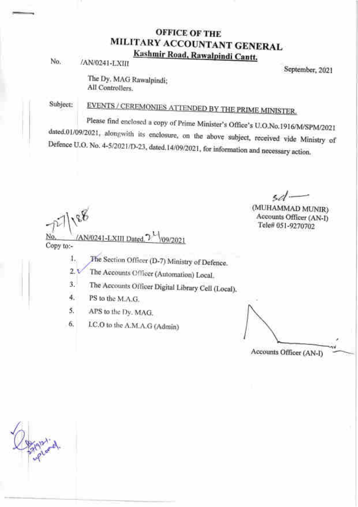# OFFICE OF THE MILITARY ACCOUNTANT GENERAL<br>Kashmir Road, Rawalpindi Cantt.

No.

IANIO24I-LXIII

September, 2021

The Dy. MAG Rawalpindi; All Controllers.

Subject:

EVENTS / CEREMONIES ATTENDED BY THE PRIME MINISTER.

dated.01/09/2021, alongwith its enclosure, on the above subject, received vide Ministry of Defence U.O. No. 4-5/2021/D-23, dated. 14/09/2021, for information and necessary action. Defence U.O. No. 4-5/2021/D-23, dated 14/09/2021, for information and necessary action. Please find enclosed a copy of Prime Minister's Office's U.O.No.1916/M/SPM/2021

 $\mathcal{R}_{\mathcal{F}}$  $\hat{v}$ (AN/0241-LXIII Dated, 7  $\frac{1}{109/2021}$ Copy to:-

sd $-$ (MUHAMMAD MUNIR) Accounts Officer (AN\_I)

Tele# 05t-9270702

The Section Officer (D-7) Ministry of Defence. 7 l.

The Accounts Officer (Automation) Local. 2.

The Accoturts O{ficer Digital Library Cell (Local). a 1

PS to thc M.A.G. 4.

APS to thc I)y. MAG. 5.

I.C.O to thc A.M.A.G (Admin) 6.

Accounts Officer (AN-D

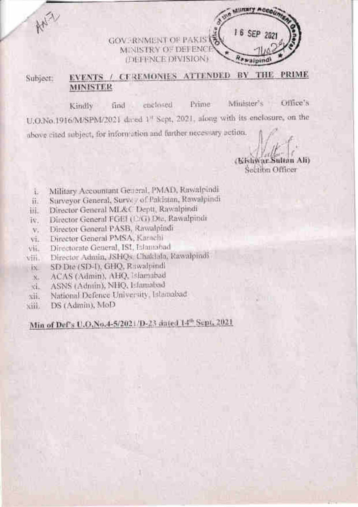GOVERNMENT OF PAKIS MINISTRY OF DEFENCE **THEFFNCE DIVISION:** 

### EVENTS / CEREMONIES ATTENDED BY THE PRIME Subject: **MINISTER**

Office's Minister's Prime: enclosed. find. Kindly U.O.No.1916/M/SPM/2021 dated 1<sup>1</sup> Sept, 2021, along with its enclosure, on the above cited subject, for information and further necessary action.

Ali (Kishy Sociibn Officer

Military Acco.

*<u>Awaini</u>* 

16 SEP 2021

- Military Accountant General, PMAD, Rawalpindi ī.
- Surveyor General, Survey of Pakistan, Rawalpindi ii.
- Director General ML&C Deptt, Rawalpindi III.
- Director General FGEI (12G) Die, Rawalpindr IV.
- Director General PASB, Rawalpindi v.
- Director General PMSA, Karachi vi.
- Directorate General, ISI, Islamabad VH.
- Director Admin, JSHQs, Chaklala, Rawalpindi vili.
- SD Die (SD-I), GHQ, Rawalpindi  $+8$
- ACAS (Admin), AHQ, Islamabad  $X_{n}$
- ASNS (Admin), NHQ, Elamabad Ki.
- National Defence University, Islamabad xii.
- DS (Admin), MoD xiii.

ANY

# Min of Def's U.O.No.4-5/2021/D-23 dated 14<sup>th</sup> Sept. 2021.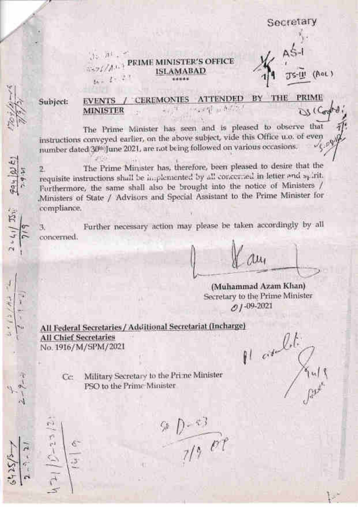Secretary

Jo Atl PRIME MINISTER'S OFFICE  $5527/M+1$ **ISLAMABAD**  $ln = 1 - 2$ 

TS-III (AOL)

Subject:

Pay 21E)

(五)

#### CEREMONIES ATTENDED BY THE PRIME **EVENTS** scant what an US (Control **MINISTER**

The Prime Minister has seen and is pleased to observe that instructions conveyed earlier, on the above subject, vide this Office u.o. of even number dated 30th June 2021, are not being followed on various occasions.

The Prime Minister has, therefore, been pleased to desire that the  $\mathbb{R}$ requisite instructions shall be implemented by all concerned in letter and spirit. Furthermore, the same shall also be brought into the notice of Ministers / Ministers of State / Advisors and Special Assistant to the Prime Minister for compliance.

Further necessary action may please be taken accordingly by all з. concerned.

 $\alpha$ 

(Muhammad Azam Khan) Secretary to the Prime Minister  $O1 - 09 - 2021$ 

All Federal Secretaries / Additional Secretariat (Incharge) **All Chief Secretaries** No. 1916/M/SPM/2021

Pl and

Military Secretary to the Prime Minister Ce: PSO to the Prime Minister

 $\frac{9D-83}{7/9}$  or